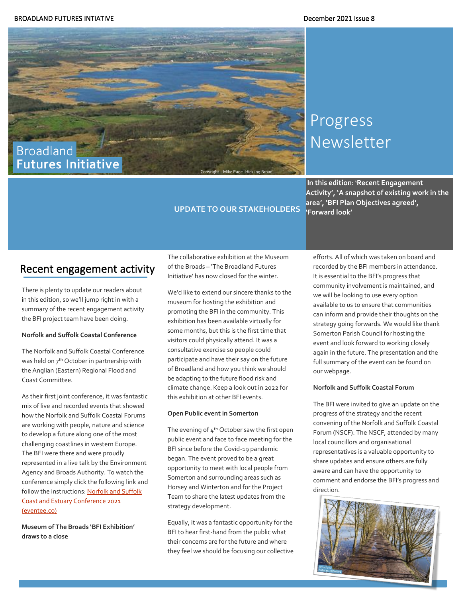

# Progress Newsletter

**In this edition: 'Recent Engagement Activity', 'A snapshot of existing work in the area', 'BFI Plan Objectives agreed', 'Forward look'**

### Recent engagement activity

There is plenty to update our readers about in this edition, so we'll jump right in with a summary of the recent engagement activity the BFI project team have been doing.

#### **Norfolk and Suffolk Coastal Conference**

The Norfolk and Suffolk Coastal Conference was held on 7<sup>th</sup> October in partnership with the Anglian (Eastern) Regional Flood and Coast Committee.

As their first joint conference, it was fantastic mix of live and recorded events that showed how the Norfolk and Suffolk Coastal Forums are working with people, nature and science to develop a future along one of the most challenging coastlines in western Europe. The BFI were there and were proudly represented in a live talk by the Environment Agency and Broads Authority. To watch the conference simply click the following link and follow the instructions[: Norfolk and Suffolk](https://event.eventee.co/event/10007/detail/agenda)  [Coast and Estuary Conference 2021](https://event.eventee.co/event/10007/detail/agenda)  [\(eventee.co\)](https://event.eventee.co/event/10007/detail/agenda)

**Museum of The Broads 'BFI Exhibition' draws to a close**

The collaborative exhibition at the Museum of the Broads – 'The Broadland Futures Initiative' has now closed for the winter.

**UPDATE TO OUR STAKEHOLDERS** 

We'd like to extend our sincere thanks to the museum for hosting the exhibition and promoting the BFI in the community. This exhibition has been available virtually for some months, but this is the first time that visitors could physically attend. It was a consultative exercise so people could participate and have their say on the future of Broadland and how you think we should be adapting to the future flood risk and climate change. Keep a look out in 2022 for this exhibition at other BFI events.

#### **Open Public event in Somerton**

The evening of  $4<sup>th</sup>$  October saw the first open public event and face to face meeting for the BFI since before the Covid-19 pandemic began. The event proved to be a great opportunity to meet with local people from Somerton and surrounding areas such as Horsey and Winterton and for the Project Team to share the latest updates from the strategy development.

Equally, it was a fantastic opportunity for the BFI to hear first-hand from the public what their concerns are for the future and where they feel we should be focusing our collective efforts. All of which was taken on board and recorded by the BFI members in attendance. It is essential to the BFI's progress that community involvement is maintained, and we will be looking to use every option available to us to ensure that communities can inform and provide their thoughts on the strategy going forwards. We would like thank Somerton Parish Council for hosting the event and look forward to working closely again in the future. The presentation and the full summary of the event can be found on our webpage.

#### **Norfolk and Suffolk Coastal Forum**

The BFI were invited to give an update on the progress of the strategy and the recent convening of the Norfolk and Suffolk Coastal Forum (NSCF). The NSCF, attended by many local councillors and organisational representatives is a valuable opportunity to share updates and ensure others are fully aware and can have the opportunity to comment and endorse the BFI's progress and direction.

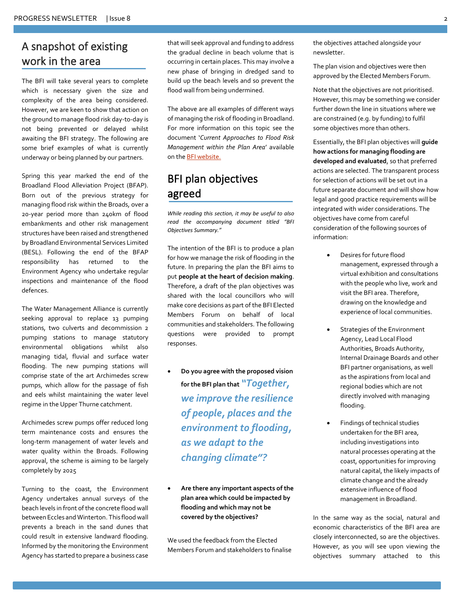# A snapshot of existing work in the area

The BFI will take several years to complete which is necessary given the size and complexity of the area being considered. However, we are keen to show that action on the ground to manage flood risk day-to-day is not being prevented or delayed whilst awaiting the BFI strategy. The following are some brief examples of what is currently underway or being planned by our partners.

Spring this year marked the end of the Broadland Flood Alleviation Project (BFAP). Born out of the previous strategy for managing flood risk within the Broads, over a 20-year period more than 240km of flood embankments and other risk management structures have been raised and strengthened by Broadland Environmental Services Limited (BESL). Following the end of the BFAP responsibility has returned to the Environment Agency who undertake regular inspections and maintenance of the flood defences.

The Water Management Alliance is currently seeking approval to replace 13 pumping stations, two culverts and decommission 2 pumping stations to manage statutory environmental obligations whilst also managing tidal, fluvial and surface water flooding. The new pumping stations will comprise state of the art Archimedes screw pumps, which allow for the passage of fish and eels whilst maintaining the water level regime in the Upper Thurne catchment.

Archimedes screw pumps offer reduced long term maintenance costs and ensures the long-term management of water levels and water quality within the Broads. Following approval, the scheme is aiming to be largely completely by 2025

Turning to the coast, the Environment Agency undertakes annual surveys of the beach levels in front of the concrete flood wall between Eccles and Winterton. This flood wall prevents a breach in the sand dunes that could result in extensive landward flooding. Informed by the monitoring the Environment Agency has started to prepare a business case

that will seek approval and funding to address the gradual decline in beach volume that is occurring in certain places. This may involve a new phase of bringing in dredged sand to build up the beach levels and so prevent the flood wall from being undermined.

The above are all examples of different ways of managing the risk of flooding in Broadland. For more information on this topic see the document '*Current Approaches to Flood Risk Management within the Plan Area*' available on th[e BFI website.](https://www.broads-authority.gov.uk/looking-after/climate-change/broadland-futures-initiative)

# BFI plan objectives agreed

*While reading this section, it may be useful to also read the accompanying document titled "BFI Objectives Summary."* 

The intention of the BFI is to produce a plan for how we manage the risk of flooding in the future. In preparing the plan the BFI aims to put **people at the heart of decision making**. Therefore, a draft of the plan objectives was shared with the local councillors who will make core decisions as part of the BFI Elected Members Forum on behalf of local communities and stakeholders. The following questions were provided to prompt responses.

- **Do you agree with the proposed vision for the BFI plan that** *"Together, we improve the resilience of people, places and the environment to flooding, as we adapt to the changing climate"?*
- **Are there any important aspects of the plan area which could be impacted by flooding and which may not be covered by the objectives?**

We used the feedback from the Elected Members Forum and stakeholders to finalise the objectives attached alongside your newsletter.

The plan vision and objectives were then approved by the Elected Members Forum.

Note that the objectives are not prioritised. However, this may be something we consider further down the line in situations where we are constrained (e.g. by funding) to fulfil some objectives more than others.

Essentially, the BFI plan objectives will **guide how actions for managing flooding are developed and evaluated**, so that preferred actions are selected. The transparent process for selection of actions will be set out in a future separate document and will show how legal and good practice requirements will be integrated with wider considerations. The objectives have come from careful consideration of the following sources of information:

- Desires for future flood management, expressed through a virtual exhibition and consultations with the people who live, work and visit the BFI area. Therefore, drawing on the knowledge and experience of local communities.
- Strategies of the Environment Agency, Lead Local Flood Authorities, Broads Authority, Internal Drainage Boards and other BFI partner organisations, as well as the aspirations from local and regional bodies which are not directly involved with managing flooding.
- Findings of technical studies undertaken for the BFI area, including investigations into natural processes operating at the coast, opportunities for improving natural capital, the likely impacts of climate change and the already extensive influence of flood management in Broadland.

In the same way as the social, natural and economic characteristics of the BFI area are closely interconnected, so are the objectives. However, as you will see upon viewing the objectives summary attached to this